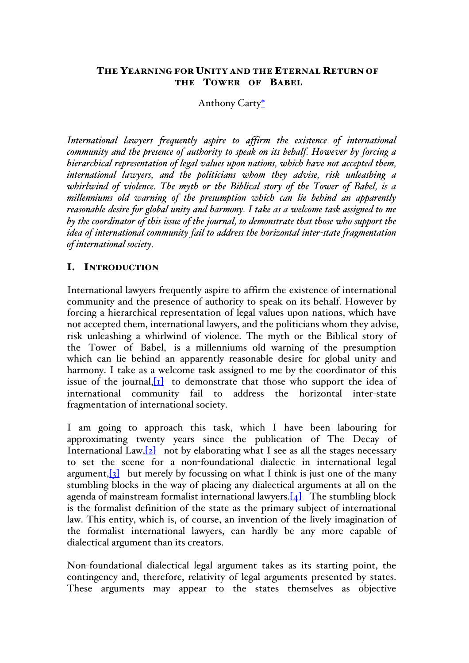# THE YEARNING FOR UNITY AND THE ETERNAL RETURN OF THE TOWER OF BABEL

# Anthony Carty\*

*International lawyers frequently aspire to affirm the existence of international community and the presence of authority to speak on its behalf. However by forcing a hierarchical representation of legal values upon nations, which have not accepted them, international lawyers, and the politicians whom they advise, risk unleashing a whirlwind of violence. The myth or the Biblical story of the Tower of Babel, is a millenniums old warning of the presumption which can lie behind an apparently reasonable desire for global unity and harmony. I take as a welcome task assigned to me by the coordinator of this issue of the journal, to demonstrate that those who support the idea of international community fail to address the horizontal inter-state fragmentation of international society.*

### I. INTRODUCTION

International lawyers frequently aspire to affirm the existence of international community and the presence of authority to speak on its behalf. However by forcing a hierarchical representation of legal values upon nations, which have not accepted them, international lawyers, and the politicians whom they advise, risk unleashing a whirlwind of violence. The myth or the Biblical story of the Tower of Babel, is a millenniums old warning of the presumption which can lie behind an apparently reasonable desire for global unity and harmony. I take as a welcome task assigned to me by the coordinator of this issue of the journal,  $\boxed{1}$  to demonstrate that those who support the idea of international community fail to address the horizontal inter-state fragmentation of international society.

I am going to approach this task, which I have been labouring for approximating twenty years since the publication of The Decay of International Law,  $[2]$  not by elaborating what I see as all the stages necessary to set the scene for a non-foundational dialectic in international legal argument,  $\boxed{3}$  but merely by focussing on what I think is just one of the many stumbling blocks in the way of placing any dialectical arguments at all on the agenda of mainstream formalist international lawyers. $[4]$  The stumbling block is the formalist definition of the state as the primary subject of international law. This entity, which is, of course, an invention of the lively imagination of the formalist international lawyers, can hardly be any more capable of dialectical argument than its creators.

Non-foundational dialectical legal argument takes as its starting point, the contingency and, therefore, relativity of legal arguments presented by states. These arguments may appear to the states themselves as objective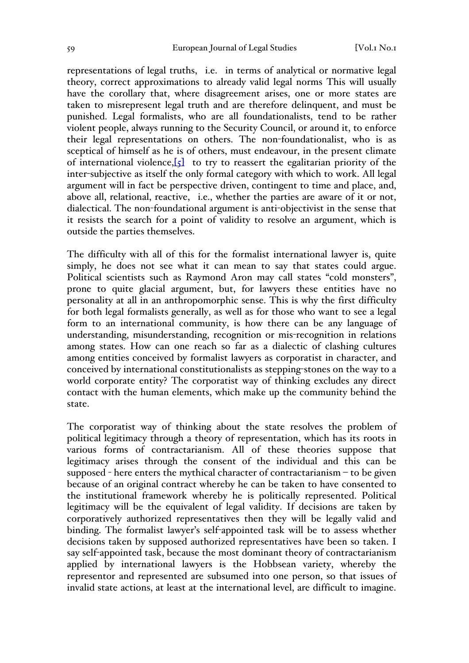representations of legal truths, i.e. in terms of analytical or normative legal theory, correct approximations to already valid legal norms This will usually have the corollary that, where disagreement arises, one or more states are taken to misrepresent legal truth and are therefore delinquent, and must be punished. Legal formalists, who are all foundationalists, tend to be rather violent people, always running to the Security Council, or around it, to enforce their legal representations on others. The non-foundationalist, who is as sceptical of himself as he is of others, must endeavour, in the present climate of international violence, $\{5\}$  to try to reassert the egalitarian priority of the inter-subjective as itself the only formal category with which to work. All legal argument will in fact be perspective driven, contingent to time and place, and, above all, relational, reactive, i.e., whether the parties are aware of it or not, dialectical. The non-foundational argument is anti-objectivist in the sense that it resists the search for a point of validity to resolve an argument, which is outside the parties themselves.

The difficulty with all of this for the formalist international lawyer is, quite simply, he does not see what it can mean to say that states could argue. Political scientists such as Raymond Aron may call states "cold monsters", prone to quite glacial argument, but, for lawyers these entities have no personality at all in an anthropomorphic sense. This is why the first difficulty for both legal formalists generally, as well as for those who want to see a legal form to an international community, is how there can be any language of understanding, misunderstanding, recognition or mis-recognition in relations among states. How can one reach so far as a dialectic of clashing cultures among entities conceived by formalist lawyers as corporatist in character, and conceived by international constitutionalists as stepping-stones on the way to a world corporate entity? The corporatist way of thinking excludes any direct contact with the human elements, which make up the community behind the state.

The corporatist way of thinking about the state resolves the problem of political legitimacy through a theory of representation, which has its roots in various forms of contractarianism. All of these theories suppose that legitimacy arises through the consent of the individual and this can be supposed - here enters the mythical character of contractarianism – to be given because of an original contract whereby he can be taken to have consented to the institutional framework whereby he is politically represented. Political legitimacy will be the equivalent of legal validity. If decisions are taken by corporatively authorized representatives then they will be legally valid and binding. The formalist lawyer's self-appointed task will be to assess whether decisions taken by supposed authorized representatives have been so taken. I say self-appointed task, because the most dominant theory of contractarianism applied by international lawyers is the Hobbsean variety, whereby the representor and represented are subsumed into one person, so that issues of invalid state actions, at least at the international level, are difficult to imagine.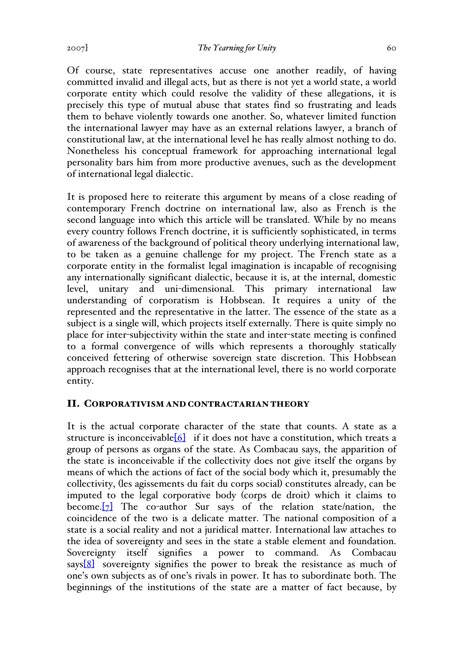Of course, state representatives accuse one another readily, of having committed invalid and illegal acts, but as there is not yet a world state, a world corporate entity which could resolve the validity of these allegations, it is precisely this type of mutual abuse that states find so frustrating and leads them to behave violently towards one another. So, whatever limited function the international lawyer may have as an external relations lawyer, a branch of constitutional law, at the international level he has really almost nothing to do. Nonetheless his conceptual framework for approaching international legal personality bars him from more productive avenues, such as the development of international legal dialectic.

It is proposed here to reiterate this argument by means of a close reading of contemporary French doctrine on international law, also as French is the second language into which this article will be translated. While by no means every country follows French doctrine, it is sufficiently sophisticated, in terms of awareness of the background of political theory underlying international law, to be taken as a genuine challenge for my project. The French state as a corporate entity in the formalist legal imagination is incapable of recognising any internationally significant dialectic, because it is, at the internal, domestic level, unitary and uni-dimensional. This primary international law understanding of corporatism is Hobbsean. It requires a unity of the represented and the representative in the latter. The essence of the state as a subject is a single will, which projects itself externally. There is quite simply no place for inter-subjectivity within the state and inter-state meeting is confined to a formal convergence of wills which represents a thoroughly statically conceived fettering of otherwise sovereign state discretion. This Hobbsean approach recognises that at the international level, there is no world corporate entity.

#### II. CORPORATIVISM AND CONTRACTARIAN THEORY

It is the actual corporate character of the state that counts. A state as a structure is inconceivable $[6]$  if it does not have a constitution, which treats a group of persons as organs of the state. As Combacau says, the apparition of the state is inconceivable if the collectivity does not give itself the organs by means of which the actions of fact of the social body which it, presumably the collectivity, (les agissements du fait du corps social) constitutes already, can be imputed to the legal corporative body (corps de droit) which it claims to become.[7] The co-author Sur says of the relation state/nation, the coincidence of the two is a delicate matter. The national composition of a state is a social reality and not a juridical matter. International law attaches to the idea of sovereignty and sees in the state a stable element and foundation. Sovereignty itself signifies a power to command. As Combacau says $[8]$  sovereignty signifies the power to break the resistance as much of one's own subjects as of one's rivals in power. It has to subordinate both. The beginnings of the institutions of the state are a matter of fact because, by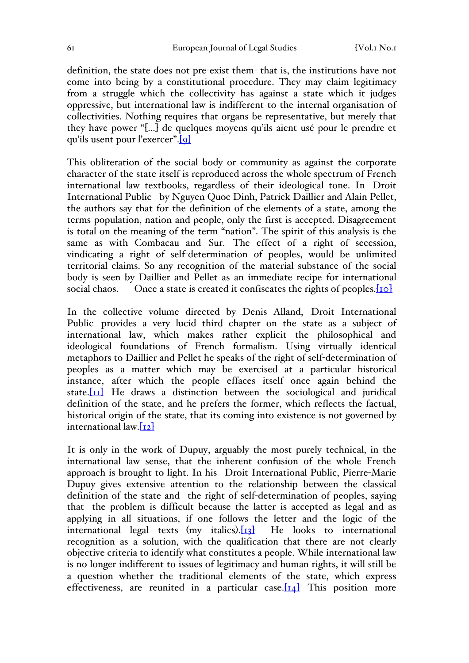definition, the state does not pre-exist them- that is, the institutions have not come into being by a constitutional procedure. They may claim legitimacy from a struggle which the collectivity has against a state which it judges oppressive, but international law is indifferent to the internal organisation of collectivities. Nothing requires that organs be representative, but merely that they have power "[...] de quelques moyens qu'ils aient usé pour le prendre et qu'ils usent pour l'exercer".[9]

This obliteration of the social body or community as against the corporate character of the state itself is reproduced across the whole spectrum of French international law textbooks, regardless of their ideological tone. In Droit International Public by Nguyen Quoc Dinh, Patrick Daillier and Alain Pellet, the authors say that for the definition of the elements of a state, among the terms population, nation and people, only the first is accepted. Disagreement is total on the meaning of the term "nation". The spirit of this analysis is the same as with Combacau and Sur. The effect of a right of secession, vindicating a right of self-determination of peoples, would be unlimited territorial claims. So any recognition of the material substance of the social body is seen by Daillier and Pellet as an immediate recipe for international social chaos. Once a state is created it confiscates the rights of peoples.  $[10]$ 

In the collective volume directed by Denis Alland, Droit International Public provides a very lucid third chapter on the state as a subject of international law, which makes rather explicit the philosophical and ideological foundations of French formalism. Using virtually identical metaphors to Daillier and Pellet he speaks of the right of self-determination of peoples as a matter which may be exercised at a particular historical instance, after which the people effaces itself once again behind the state. $\overline{[11]}$  He draws a distinction between the sociological and juridical definition of the state, and he prefers the former, which reflects the factual, historical origin of the state, that its coming into existence is not governed by international law.[12]

It is only in the work of Dupuy, arguably the most purely technical, in the international law sense, that the inherent confusion of the whole French approach is brought to light. In his Droit International Public, Pierre-Marie Dupuy gives extensive attention to the relationship between the classical definition of the state and the right of self-determination of peoples, saying that the problem is difficult because the latter is accepted as legal and as applying in all situations, if one follows the letter and the logic of the international legal texts (my italics).[13] He looks to international recognition as a solution, with the qualification that there are not clearly objective criteria to identify what constitutes a people. While international law is no longer indifferent to issues of legitimacy and human rights, it will still be a question whether the traditional elements of the state, which express effectiveness, are reunited in a particular case. $[14]$  This position more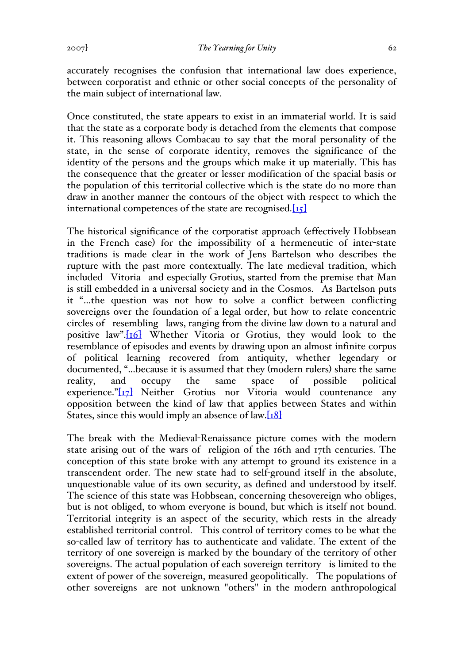accurately recognises the confusion that international law does experience, between corporatist and ethnic or other social concepts of the personality of the main subject of international law.

Once constituted, the state appears to exist in an immaterial world. It is said that the state as a corporate body is detached from the elements that compose it. This reasoning allows Combacau to say that the moral personality of the state, in the sense of corporate identity, removes the significance of the identity of the persons and the groups which make it up materially. This has the consequence that the greater or lesser modification of the spacial basis or the population of this territorial collective which is the state do no more than draw in another manner the contours of the object with respect to which the international competences of the state are recognised.[15]

The historical significance of the corporatist approach (effectively Hobbsean in the French case) for the impossibility of a hermeneutic of inter-state traditions is made clear in the work of Jens Bartelson who describes the rupture with the past more contextually. The late medieval tradition, which included Vitoria and especially Grotius, started from the premise that Man is still embedded in a universal society and in the Cosmos. As Bartelson puts it "…the question was not how to solve a conflict between conflicting sovereigns over the foundation of a legal order, but how to relate concentric circles of resembling laws, ranging from the divine law down to a natural and positive law".[16] Whether Vitoria or Grotius, they would look to the resemblance of episodes and events by drawing upon an almost infinite corpus of political learning recovered from antiquity, whether legendary or documented, "…because it is assumed that they (modern rulers) share the same reality, and occupy the same space of possible political experience."[17] Neither Grotius nor Vitoria would countenance any opposition between the kind of law that applies between States and within States, since this would imply an absence of law.[18]

The break with the Medieval-Renaissance picture comes with the modern state arising out of the wars of religion of the 16th and 17th centuries. The conception of this state broke with any attempt to ground its existence in a transcendent order. The new state had to self-ground itself in the absolute, unquestionable value of its own security, as defined and understood by itself. The science of this state was Hobbsean, concerning thesovereign who obliges, but is not obliged, to whom everyone is bound, but which is itself not bound. Territorial integrity is an aspect of the security, which rests in the already established territorial control. This control of territory comes to be what the so-called law of territory has to authenticate and validate. The extent of the territory of one sovereign is marked by the boundary of the territory of other sovereigns. The actual population of each sovereign territory is limited to the extent of power of the sovereign, measured geopolitically. The populations of other sovereigns are not unknown "others" in the modern anthropological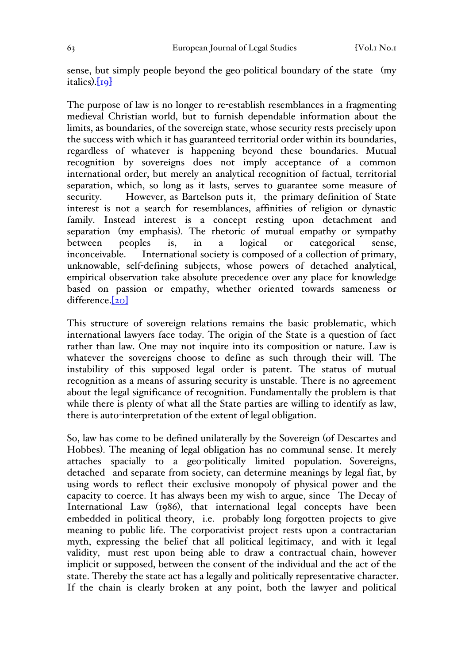sense, but simply people beyond the geo-political boundary of the state (my italics).[19]

The purpose of law is no longer to re-establish resemblances in a fragmenting medieval Christian world, but to furnish dependable information about the limits, as boundaries, of the sovereign state, whose security rests precisely upon the success with which it has guaranteed territorial order within its boundaries, regardless of whatever is happening beyond these boundaries. Mutual recognition by sovereigns does not imply acceptance of a common international order, but merely an analytical recognition of factual, territorial separation, which, so long as it lasts, serves to guarantee some measure of security. However, as Bartelson puts it, the primary definition of State interest is not a search for resemblances, affinities of religion or dynastic family. Instead interest is a concept resting upon detachment and separation (my emphasis). The rhetoric of mutual empathy or sympathy between peoples is, in a logical or categorical sense, inconceivable. International society is composed of a collection of primary, unknowable, self-defining subjects, whose powers of detached analytical, empirical observation take absolute precedence over any place for knowledge based on passion or empathy, whether oriented towards sameness or  $difference$ [20]

This structure of sovereign relations remains the basic problematic, which international lawyers face today. The origin of the State is a question of fact rather than law. One may not inquire into its composition or nature. Law is whatever the sovereigns choose to define as such through their will. The instability of this supposed legal order is patent. The status of mutual recognition as a means of assuring security is unstable. There is no agreement about the legal significance of recognition. Fundamentally the problem is that while there is plenty of what all the State parties are willing to identify as law, there is auto-interpretation of the extent of legal obligation.

So, law has come to be defined unilaterally by the Sovereign (of Descartes and Hobbes). The meaning of legal obligation has no communal sense. It merely attaches spacially to a geo-politically limited population. Sovereigns, detached and separate from society, can determine meanings by legal fiat, by using words to reflect their exclusive monopoly of physical power and the capacity to coerce. It has always been my wish to argue, since The Decay of International Law (1986), that international legal concepts have been embedded in political theory, i.e. probably long forgotten projects to give meaning to public life. The corporativist project rests upon a contractarian myth, expressing the belief that all political legitimacy, and with it legal validity, must rest upon being able to draw a contractual chain, however implicit or supposed, between the consent of the individual and the act of the state. Thereby the state act has a legally and politically representative character. If the chain is clearly broken at any point, both the lawyer and political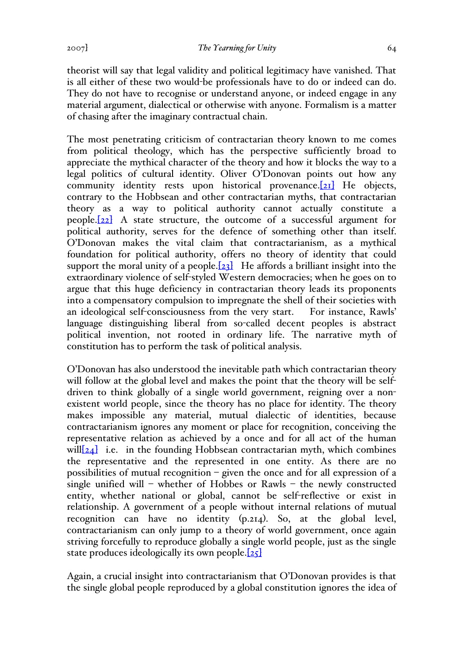theorist will say that legal validity and political legitimacy have vanished. That is all either of these two would-be professionals have to do or indeed can do. They do not have to recognise or understand anyone, or indeed engage in any material argument, dialectical or otherwise with anyone. Formalism is a matter of chasing after the imaginary contractual chain.

The most penetrating criticism of contractarian theory known to me comes from political theology, which has the perspective sufficiently broad to appreciate the mythical character of the theory and how it blocks the way to a legal politics of cultural identity. Oliver O'Donovan points out how any community identity rests upon historical provenance.<sup>[21]</sup> He objects, contrary to the Hobbsean and other contractarian myths, that contractarian theory as a way to political authority cannot actually constitute a people.[22] A state structure, the outcome of a successful argument for political authority, serves for the defence of something other than itself. O'Donovan makes the vital claim that contractarianism, as a mythical foundation for political authority, offers no theory of identity that could support the moral unity of a people.<sup>[23]</sup> He affords a brilliant insight into the extraordinary violence of self-styled Western democracies; when he goes on to argue that this huge deficiency in contractarian theory leads its proponents into a compensatory compulsion to impregnate the shell of their societies with an ideological self-consciousness from the very start. For instance, Rawls' language distinguishing liberal from so-called decent peoples is abstract political invention, not rooted in ordinary life. The narrative myth of constitution has to perform the task of political analysis.

O'Donovan has also understood the inevitable path which contractarian theory will follow at the global level and makes the point that the theory will be selfdriven to think globally of a single world government, reigning over a nonexistent world people, since the theory has no place for identity. The theory makes impossible any material, mutual dialectic of identities, because contractarianism ignores any moment or place for recognition, conceiving the representative relation as achieved by a once and for all act of the human will $\left[24\right]$  i.e. in the founding Hobbsean contractarian myth, which combines the representative and the represented in one entity. As there are no possibilities of mutual recognition – given the once and for all expression of a single unified will – whether of Hobbes or Rawls – the newly constructed entity, whether national or global, cannot be self-reflective or exist in relationship. A government of a people without internal relations of mutual recognition can have no identity (p.214). So, at the global level, contractarianism can only jump to a theory of world government, once again striving forcefully to reproduce globally a single world people, just as the single state produces ideologically its own people.<sup>[25]</sup>

Again, a crucial insight into contractarianism that O'Donovan provides is that the single global people reproduced by a global constitution ignores the idea of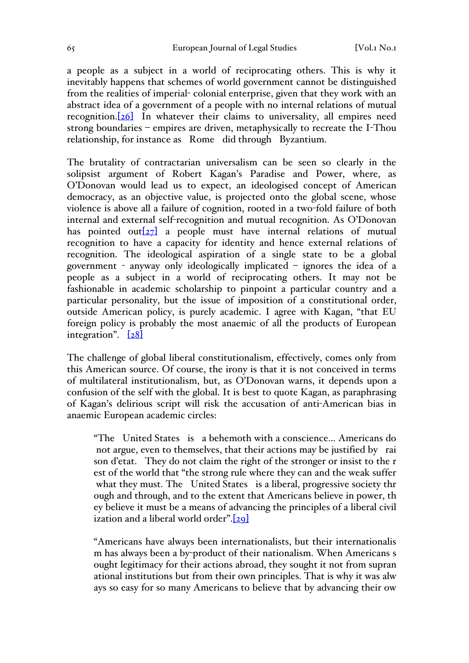a people as a subject in a world of reciprocating others. This is why it inevitably happens that schemes of world government cannot be distinguished from the realities of imperial- colonial enterprise, given that they work with an abstract idea of a government of a people with no internal relations of mutual recognition. $[26]$  In whatever their claims to universality, all empires need strong boundaries – empires are driven, metaphysically to recreate the I-Thou relationship, for instance as Rome did through Byzantium.

The brutality of contractarian universalism can be seen so clearly in the solipsist argument of Robert Kagan's Paradise and Power, where, as O'Donovan would lead us to expect, an ideologised concept of American democracy, as an objective value, is projected onto the global scene, whose violence is above all a failure of cognition, rooted in a two-fold failure of both internal and external self-recognition and mutual recognition. As O'Donovan has pointed out $\sqrt{27}$  a people must have internal relations of mutual recognition to have a capacity for identity and hence external relations of recognition. The ideological aspiration of a single state to be a global government - anyway only ideologically implicated – ignores the idea of a people as a subject in a world of reciprocating others. It may not be fashionable in academic scholarship to pinpoint a particular country and a particular personality, but the issue of imposition of a constitutional order, outside American policy, is purely academic. I agree with Kagan, "that EU foreign policy is probably the most anaemic of all the products of European integration". [28]

The challenge of global liberal constitutionalism, effectively, comes only from this American source. Of course, the irony is that it is not conceived in terms of multilateral institutionalism, but, as O'Donovan warns, it depends upon a confusion of the self with the global. It is best to quote Kagan, as paraphrasing of Kagan's delirious script will risk the accusation of anti-American bias in anaemic European academic circles:

"The United States is a behemoth with a conscience… Americans do not argue, even to themselves, that their actions may be justified by rai son d'etat. They do not claim the right of the stronger or insist to the r est of the world that "the strong rule where they can and the weak suffer what they must. The United States is a liberal, progressive society thr ough and through, and to the extent that Americans believe in power, th ey believe it must be a means of advancing the principles of a liberal civil ization and a liberal world order".[29]

"Americans have always been internationalists, but their internationalis m has always been a by-product of their nationalism. When Americans s ought legitimacy for their actions abroad, they sought it not from supran ational institutions but from their own principles. That is why it was alw ays so easy for so many Americans to believe that by advancing their ow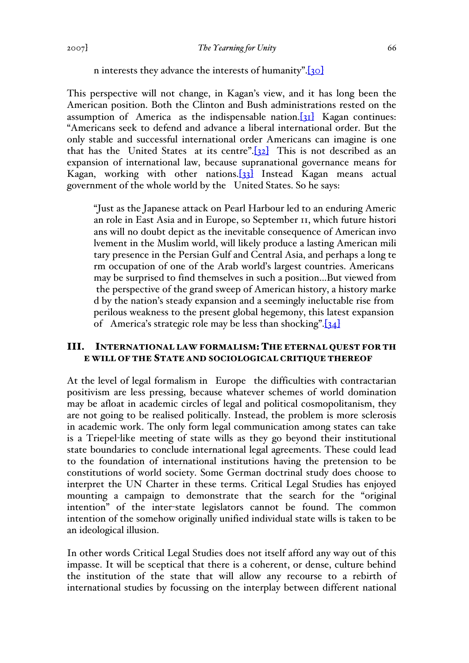n interests they advance the interests of humanity".[30]

This perspective will not change, in Kagan's view, and it has long been the American position. Both the Clinton and Bush administrations rested on the assumption of America as the indispensable nation. $[31]$  Kagan continues: "Americans seek to defend and advance a liberal international order. But the only stable and successful international order Americans can imagine is one that has the United States at its centre". $[32]$  This is not described as an expansion of international law, because supranational governance means for Kagan, working with other nations.[33] Instead Kagan means actual government of the whole world by the United States. So he says:

"Just as the Japanese attack on Pearl Harbour led to an enduring Americ an role in East Asia and in Europe, so September 11, which future histori ans will no doubt depict as the inevitable consequence of American invo lvement in the Muslim world, will likely produce a lasting American mili tary presence in the Persian Gulf and Central Asia, and perhaps a long te rm occupation of one of the Arab world's largest countries. Americans may be surprised to find themselves in such a position…But viewed from the perspective of the grand sweep of American history, a history marke d by the nation's steady expansion and a seemingly ineluctable rise from perilous weakness to the present global hegemony, this latest expansion of America's strategic role may be less than shocking".  $[34]$ 

## III. INTERNATIONAL LAW FORMALISM: THE ETERNAL QUEST FOR TH E WILL OF THE STATE AND SOCIOLOGICAL CRITIQUE THEREOF

At the level of legal formalism in Europe the difficulties with contractarian positivism are less pressing, because whatever schemes of world domination may be afloat in academic circles of legal and political cosmopolitanism, they are not going to be realised politically. Instead, the problem is more sclerosis in academic work. The only form legal communication among states can take is a Triepel-like meeting of state wills as they go beyond their institutional state boundaries to conclude international legal agreements. These could lead to the foundation of international institutions having the pretension to be constitutions of world society. Some German doctrinal study does choose to interpret the UN Charter in these terms. Critical Legal Studies has enjoyed mounting a campaign to demonstrate that the search for the "original intention" of the inter-state legislators cannot be found. The common intention of the somehow originally unified individual state wills is taken to be an ideological illusion.

In other words Critical Legal Studies does not itself afford any way out of this impasse. It will be sceptical that there is a coherent, or dense, culture behind the institution of the state that will allow any recourse to a rebirth of international studies by focussing on the interplay between different national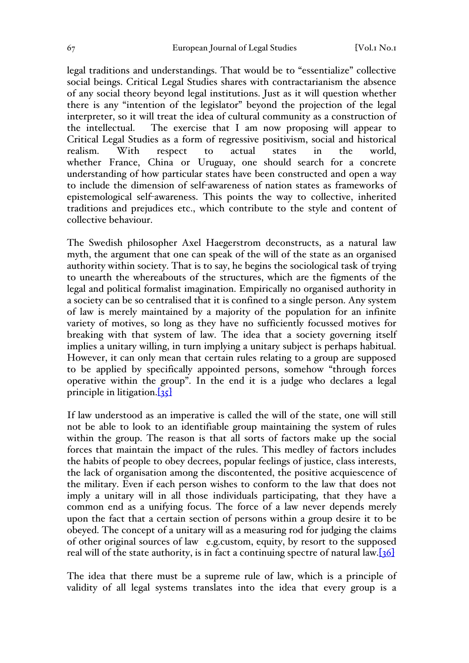legal traditions and understandings. That would be to "essentialize" collective social beings. Critical Legal Studies shares with contractarianism the absence of any social theory beyond legal institutions. Just as it will question whether there is any "intention of the legislator" beyond the projection of the legal interpreter, so it will treat the idea of cultural community as a construction of the intellectual. The exercise that I am now proposing will appear to Critical Legal Studies as a form of regressive positivism, social and historical realism. With respect to actual states in the world, whether France, China or Uruguay, one should search for a concrete understanding of how particular states have been constructed and open a way to include the dimension of self-awareness of nation states as frameworks of epistemological self-awareness. This points the way to collective, inherited traditions and prejudices etc., which contribute to the style and content of collective behaviour.

The Swedish philosopher Axel Haegerstrom deconstructs, as a natural law myth, the argument that one can speak of the will of the state as an organised authority within society. That is to say, he begins the sociological task of trying to unearth the whereabouts of the structures, which are the figments of the legal and political formalist imagination. Empirically no organised authority in a society can be so centralised that it is confined to a single person. Any system of law is merely maintained by a majority of the population for an infinite variety of motives, so long as they have no sufficiently focussed motives for breaking with that system of law. The idea that a society governing itself implies a unitary willing, in turn implying a unitary subject is perhaps habitual. However, it can only mean that certain rules relating to a group are supposed to be applied by specifically appointed persons, somehow "through forces operative within the group". In the end it is a judge who declares a legal principle in litigation.[35]

If law understood as an imperative is called the will of the state, one will still not be able to look to an identifiable group maintaining the system of rules within the group. The reason is that all sorts of factors make up the social forces that maintain the impact of the rules. This medley of factors includes the habits of people to obey decrees, popular feelings of justice, class interests, the lack of organisation among the discontented, the positive acquiescence of the military. Even if each person wishes to conform to the law that does not imply a unitary will in all those individuals participating, that they have a common end as a unifying focus. The force of a law never depends merely upon the fact that a certain section of persons within a group desire it to be obeyed. The concept of a unitary will as a measuring rod for judging the claims of other original sources of law e.g.custom, equity, by resort to the supposed real will of the state authority, is in fact a continuing spectre of natural law. $[36]$ 

The idea that there must be a supreme rule of law, which is a principle of validity of all legal systems translates into the idea that every group is a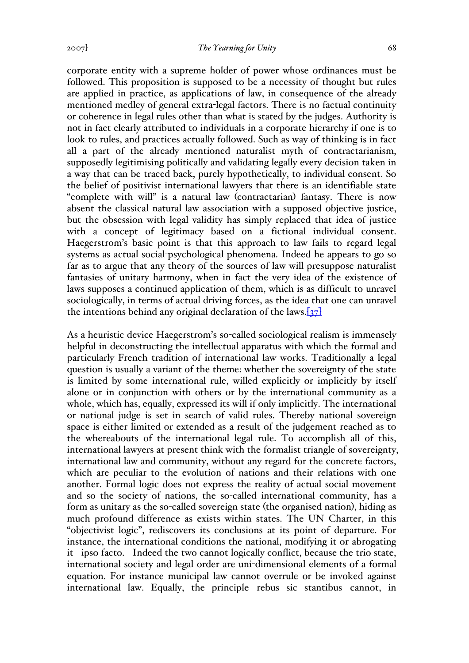corporate entity with a supreme holder of power whose ordinances must be followed. This proposition is supposed to be a necessity of thought but rules are applied in practice, as applications of law, in consequence of the already mentioned medley of general extra-legal factors. There is no factual continuity or coherence in legal rules other than what is stated by the judges. Authority is not in fact clearly attributed to individuals in a corporate hierarchy if one is to look to rules, and practices actually followed. Such as way of thinking is in fact all a part of the already mentioned naturalist myth of contractarianism, supposedly legitimising politically and validating legally every decision taken in a way that can be traced back, purely hypothetically, to individual consent. So the belief of positivist international lawyers that there is an identifiable state "complete with will" is a natural law (contractarian) fantasy. There is now absent the classical natural law association with a supposed objective justice, but the obsession with legal validity has simply replaced that idea of justice with a concept of legitimacy based on a fictional individual consent. Haegerstrom's basic point is that this approach to law fails to regard legal systems as actual social-psychological phenomena. Indeed he appears to go so far as to argue that any theory of the sources of law will presuppose naturalist fantasies of unitary harmony, when in fact the very idea of the existence of laws supposes a continued application of them, which is as difficult to unravel sociologically, in terms of actual driving forces, as the idea that one can unravel the intentions behind any original declaration of the laws. $[37]$ 

As a heuristic device Haegerstrom's so-called sociological realism is immensely helpful in deconstructing the intellectual apparatus with which the formal and particularly French tradition of international law works. Traditionally a legal question is usually a variant of the theme: whether the sovereignty of the state is limited by some international rule, willed explicitly or implicitly by itself alone or in conjunction with others or by the international community as a whole, which has, equally, expressed its will if only implicitly. The international or national judge is set in search of valid rules. Thereby national sovereign space is either limited or extended as a result of the judgement reached as to the whereabouts of the international legal rule. To accomplish all of this, international lawyers at present think with the formalist triangle of sovereignty, international law and community, without any regard for the concrete factors, which are peculiar to the evolution of nations and their relations with one another. Formal logic does not express the reality of actual social movement and so the society of nations, the so-called international community, has a form as unitary as the so-called sovereign state (the organised nation), hiding as much profound difference as exists within states. The UN Charter, in this "objectivist logic", rediscovers its conclusions at its point of departure. For instance, the international conditions the national, modifying it or abrogating it ipso facto. Indeed the two cannot logically conflict, because the trio state, international society and legal order are uni-dimensional elements of a formal equation. For instance municipal law cannot overrule or be invoked against international law. Equally, the principle rebus sic stantibus cannot, in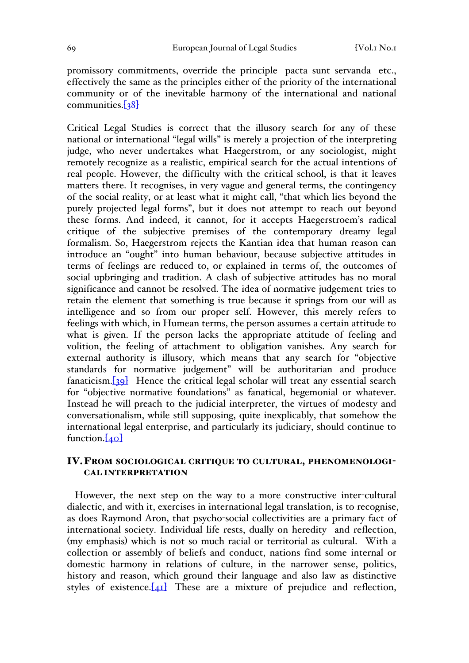promissory commitments, override the principle pacta sunt servanda etc., effectively the same as the principles either of the priority of the international community or of the inevitable harmony of the international and national communities.<sup>[38]</sup>

Critical Legal Studies is correct that the illusory search for any of these national or international "legal wills" is merely a projection of the interpreting judge, who never undertakes what Haegerstrom, or any sociologist, might remotely recognize as a realistic, empirical search for the actual intentions of real people. However, the difficulty with the critical school, is that it leaves matters there. It recognises, in very vague and general terms, the contingency of the social reality, or at least what it might call, "that which lies beyond the purely projected legal forms", but it does not attempt to reach out beyond these forms. And indeed, it cannot, for it accepts Haegerstroem's radical critique of the subjective premises of the contemporary dreamy legal formalism. So, Haegerstrom rejects the Kantian idea that human reason can introduce an "ought" into human behaviour, because subjective attitudes in terms of feelings are reduced to, or explained in terms of, the outcomes of social upbringing and tradition. A clash of subjective attitudes has no moral significance and cannot be resolved. The idea of normative judgement tries to retain the element that something is true because it springs from our will as intelligence and so from our proper self. However, this merely refers to feelings with which, in Humean terms, the person assumes a certain attitude to what is given. If the person lacks the appropriate attitude of feeling and volition, the feeling of attachment to obligation vanishes. Any search for external authority is illusory, which means that any search for "objective standards for normative judgement" will be authoritarian and produce fanaticism.[39] Hence the critical legal scholar will treat any essential search for "objective normative foundations" as fanatical, hegemonial or whatever. Instead he will preach to the judicial interpreter, the virtues of modesty and conversationalism, while still supposing, quite inexplicably, that somehow the international legal enterprise, and particularly its judiciary, should continue to function.[40]

# IV.FROM SOCIOLOGICAL CRITIQUE TO CULTURAL, PHENOMENOLOGI-CAL INTERPRETATION

However, the next step on the way to a more constructive inter-cultural dialectic, and with it, exercises in international legal translation, is to recognise, as does Raymond Aron, that psycho-social collectivities are a primary fact of international society. Individual life rests, dually on heredity and reflection, (my emphasis) which is not so much racial or territorial as cultural. With a collection or assembly of beliefs and conduct, nations find some internal or domestic harmony in relations of culture, in the narrower sense, politics, history and reason, which ground their language and also law as distinctive styles of existence. $[41]$  These are a mixture of prejudice and reflection,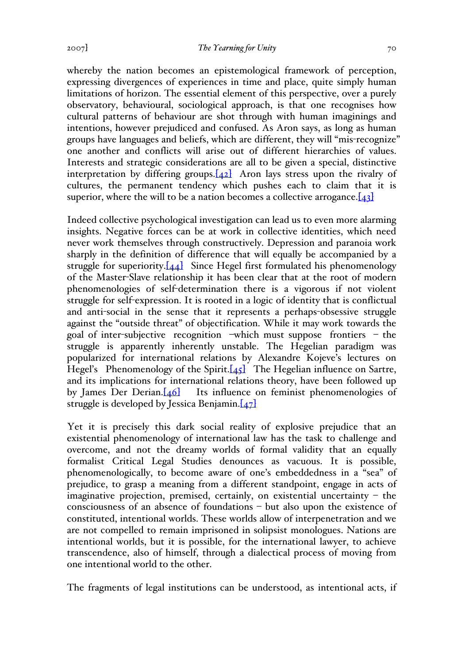whereby the nation becomes an epistemological framework of perception, expressing divergences of experiences in time and place, quite simply human limitations of horizon. The essential element of this perspective, over a purely observatory, behavioural, sociological approach, is that one recognises how cultural patterns of behaviour are shot through with human imaginings and intentions, however prejudiced and confused. As Aron says, as long as human groups have languages and beliefs, which are different, they will "mis-recognize" one another and conflicts will arise out of different hierarchies of values. Interests and strategic considerations are all to be given a special, distinctive interpretation by differing groups.  $[42]$  Aron lays stress upon the rivalry of cultures, the permanent tendency which pushes each to claim that it is superior, where the will to be a nation becomes a collective arrogance.  $[43]$ 

Indeed collective psychological investigation can lead us to even more alarming insights. Negative forces can be at work in collective identities, which need never work themselves through constructively. Depression and paranoia work sharply in the definition of difference that will equally be accompanied by a struggle for superiority. $[44]$  Since Hegel first formulated his phenomenology of the Master-Slave relationship it has been clear that at the root of modern phenomenologies of self-determination there is a vigorous if not violent struggle for self-expression. It is rooted in a logic of identity that is conflictual and anti-social in the sense that it represents a perhaps-obsessive struggle against the "outside threat" of objectification. While it may work towards the goal of inter-subjective recognition –which must suppose frontiers – the struggle is apparently inherently unstable. The Hegelian paradigm was popularized for international relations by Alexandre Kojeve's lectures on Hegel's Phenomenology of the Spirit. [45] The Hegelian influence on Sartre, and its implications for international relations theory, have been followed up by James Der Derian.<sup>[46]</sup> Its influence on feminist phenomenologies of struggle is developed by Jessica Benjamin. $[47]$ 

Yet it is precisely this dark social reality of explosive prejudice that an existential phenomenology of international law has the task to challenge and overcome, and not the dreamy worlds of formal validity that an equally formalist Critical Legal Studies denounces as vacuous. It is possible, phenomenologically, to become aware of one's embeddedness in a "sea" of prejudice, to grasp a meaning from a different standpoint, engage in acts of imaginative projection, premised, certainly, on existential uncertainty  $-$  the consciousness of an absence of foundations – but also upon the existence of constituted, intentional worlds. These worlds allow of interpenetration and we are not compelled to remain imprisoned in solipsist monologues. Nations are intentional worlds, but it is possible, for the international lawyer, to achieve transcendence, also of himself, through a dialectical process of moving from one intentional world to the other.

The fragments of legal institutions can be understood, as intentional acts, if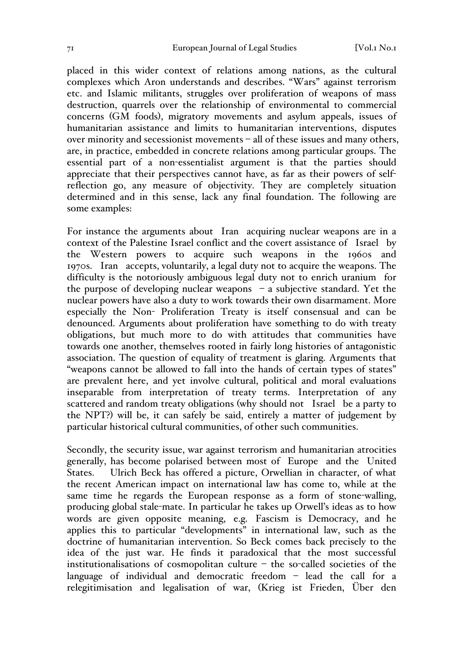placed in this wider context of relations among nations, as the cultural complexes which Aron understands and describes. "Wars" against terrorism etc. and Islamic militants, struggles over proliferation of weapons of mass destruction, quarrels over the relationship of environmental to commercial concerns (GM foods), migratory movements and asylum appeals, issues of humanitarian assistance and limits to humanitarian interventions, disputes over minority and secessionist movements – all of these issues and many others, are, in practice, embedded in concrete relations among particular groups. The essential part of a non-essentialist argument is that the parties should appreciate that their perspectives cannot have, as far as their powers of selfreflection go, any measure of objectivity. They are completely situation determined and in this sense, lack any final foundation. The following are some examples:

For instance the arguments about Iran acquiring nuclear weapons are in a context of the Palestine Israel conflict and the covert assistance of Israel by the Western powers to acquire such weapons in the 1960s and 1970s. Iran accepts, voluntarily, a legal duty not to acquire the weapons. The difficulty is the notoriously ambiguous legal duty not to enrich uranium for the purpose of developing nuclear weapons  $-$  a subjective standard. Yet the nuclear powers have also a duty to work towards their own disarmament. More especially the Non- Proliferation Treaty is itself consensual and can be denounced. Arguments about proliferation have something to do with treaty obligations, but much more to do with attitudes that communities have towards one another, themselves rooted in fairly long histories of antagonistic association. The question of equality of treatment is glaring. Arguments that "weapons cannot be allowed to fall into the hands of certain types of states" are prevalent here, and yet involve cultural, political and moral evaluations inseparable from interpretation of treaty terms. Interpretation of any scattered and random treaty obligations (why should not Israel be a party to the NPT?) will be, it can safely be said, entirely a matter of judgement by particular historical cultural communities, of other such communities.

Secondly, the security issue, war against terrorism and humanitarian atrocities generally, has become polarised between most of Europe and the United States. Ulrich Beck has offered a picture, Orwellian in character, of what the recent American impact on international law has come to, while at the same time he regards the European response as a form of stone-walling, producing global stale-mate. In particular he takes up Orwell's ideas as to how words are given opposite meaning, e.g. Fascism is Democracy, and he applies this to particular "developments" in international law, such as the doctrine of humanitarian intervention. So Beck comes back precisely to the idea of the just war. He finds it paradoxical that the most successful institutionalisations of cosmopolitan culture – the so-called societies of the language of individual and democratic freedom – lead the call for a relegitimisation and legalisation of war, (Krieg ist Frieden, Über den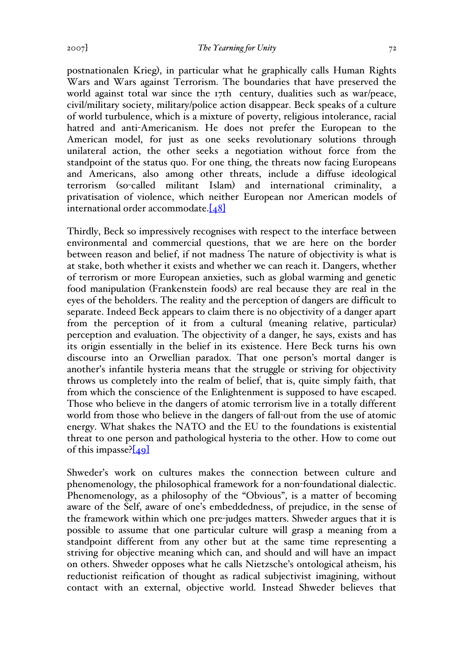postnationalen Krieg), in particular what he graphically calls Human Rights Wars and Wars against Terrorism. The boundaries that have preserved the world against total war since the 17th century, dualities such as war/peace, civil/military society, military/police action disappear. Beck speaks of a culture of world turbulence, which is a mixture of poverty, religious intolerance, racial hatred and anti-Americanism. He does not prefer the European to the American model, for just as one seeks revolutionary solutions through unilateral action, the other seeks a negotiation without force from the standpoint of the status quo. For one thing, the threats now facing Europeans and Americans, also among other threats, include a diffuse ideological terrorism (so-called militant Islam) and international criminality, a privatisation of violence, which neither European nor American models of international order accommodate. $[48]$ 

Thirdly, Beck so impressively recognises with respect to the interface between environmental and commercial questions, that we are here on the border between reason and belief, if not madness The nature of objectivity is what is at stake, both whether it exists and whether we can reach it. Dangers, whether of terrorism or more European anxieties, such as global warming and genetic food manipulation (Frankenstein foods) are real because they are real in the eyes of the beholders. The reality and the perception of dangers are difficult to separate. Indeed Beck appears to claim there is no objectivity of a danger apart from the perception of it from a cultural (meaning relative, particular) perception and evaluation. The objectivity of a danger, he says, exists and has its origin essentially in the belief in its existence. Here Beck turns his own discourse into an Orwellian paradox. That one person's mortal danger is another's infantile hysteria means that the struggle or striving for objectivity throws us completely into the realm of belief, that is, quite simply faith, that from which the conscience of the Enlightenment is supposed to have escaped. Those who believe in the dangers of atomic terrorism live in a totally different world from those who believe in the dangers of fall-out from the use of atomic energy. What shakes the NATO and the EU to the foundations is existential threat to one person and pathological hysteria to the other. How to come out of this impasse? $[49]$ 

Shweder's work on cultures makes the connection between culture and phenomenology, the philosophical framework for a non-foundational dialectic. Phenomenology, as a philosophy of the "Obvious", is a matter of becoming aware of the Self, aware of one's embeddedness, of prejudice, in the sense of the framework within which one pre-judges matters. Shweder argues that it is possible to assume that one particular culture will grasp a meaning from a standpoint different from any other but at the same time representing a striving for objective meaning which can, and should and will have an impact on others. Shweder opposes what he calls Nietzsche's ontological atheism, his reductionist reification of thought as radical subjectivist imagining, without contact with an external, objective world. Instead Shweder believes that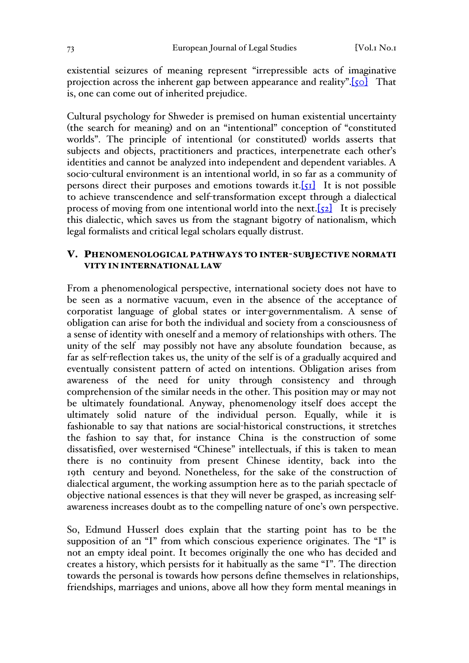existential seizures of meaning represent "irrepressible acts of imaginative projection across the inherent gap between appearance and reality". $[50]$  That is, one can come out of inherited prejudice.

Cultural psychology for Shweder is premised on human existential uncertainty (the search for meaning) and on an "intentional" conception of "constituted worlds". The principle of intentional (or constituted) worlds asserts that subjects and objects, practitioners and practices, interpenetrate each other's identities and cannot be analyzed into independent and dependent variables. A socio-cultural environment is an intentional world, in so far as a community of persons direct their purposes and emotions towards it. $\overline{[51]}$  It is not possible to achieve transcendence and self-transformation except through a dialectical process of moving from one intentional world into the next. $[52]$  It is precisely this dialectic, which saves us from the stagnant bigotry of nationalism, which legal formalists and critical legal scholars equally distrust.

### V. PHENOMENOLOGICAL PATHWAYS TO INTER-SUBJECTIVE NORMATI VITY IN INTERNATIONAL LAW

From a phenomenological perspective, international society does not have to be seen as a normative vacuum, even in the absence of the acceptance of corporatist language of global states or inter-governmentalism. A sense of obligation can arise for both the individual and society from a consciousness of a sense of identity with oneself and a memory of relationships with others. The unity of the self may possibly not have any absolute foundation because, as far as self-reflection takes us, the unity of the self is of a gradually acquired and eventually consistent pattern of acted on intentions. Obligation arises from awareness of the need for unity through consistency and through comprehension of the similar needs in the other. This position may or may not be ultimately foundational. Anyway, phenomenology itself does accept the ultimately solid nature of the individual person. Equally, while it is fashionable to say that nations are social-historical constructions, it stretches the fashion to say that, for instance China is the construction of some dissatisfied, over westernised "Chinese" intellectuals, if this is taken to mean there is no continuity from present Chinese identity, back into the 19th century and beyond. Nonetheless, for the sake of the construction of dialectical argument, the working assumption here as to the pariah spectacle of objective national essences is that they will never be grasped, as increasing selfawareness increases doubt as to the compelling nature of one's own perspective.

So, Edmund Husserl does explain that the starting point has to be the supposition of an "I" from which conscious experience originates. The "I" is not an empty ideal point. It becomes originally the one who has decided and creates a history, which persists for it habitually as the same "I". The direction towards the personal is towards how persons define themselves in relationships, friendships, marriages and unions, above all how they form mental meanings in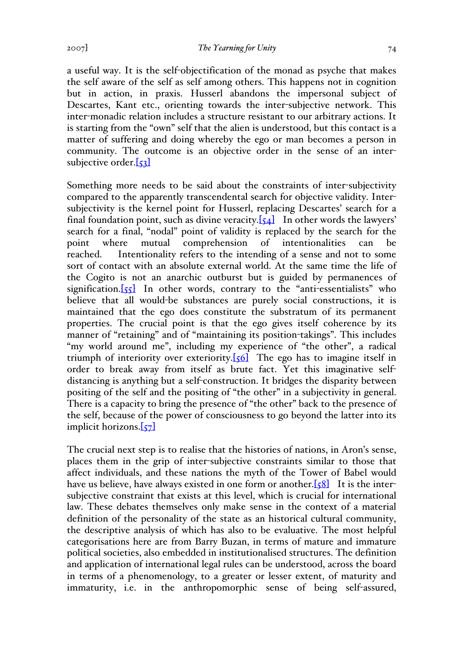a useful way. It is the self-objectification of the monad as psyche that makes the self aware of the self as self among others. This happens not in cognition but in action, in praxis. Husserl abandons the impersonal subject of Descartes, Kant etc., orienting towards the inter-subjective network. This inter-monadic relation includes a structure resistant to our arbitrary actions. It is starting from the "own" self that the alien is understood, but this contact is a matter of suffering and doing whereby the ego or man becomes a person in community. The outcome is an objective order in the sense of an intersubjective order.<sup>[53]</sup>

Something more needs to be said about the constraints of inter-subjectivity compared to the apparently transcendental search for objective validity. Intersubjectivity is the kernel point for Husserl, replacing Descartes' search for a final foundation point, such as divine veracity. $[54]$  In other words the lawyers' search for a final, "nodal" point of validity is replaced by the search for the point where mutual comprehension of intentionalities can be reached. Intentionality refers to the intending of a sense and not to some sort of contact with an absolute external world. At the same time the life of the Cogito is not an anarchic outburst but is guided by permanences of signification.[55] In other words, contrary to the "anti-essentialists" who believe that all would-be substances are purely social constructions, it is maintained that the ego does constitute the substratum of its permanent properties. The crucial point is that the ego gives itself coherence by its manner of "retaining" and of "maintaining its position-takings". This includes "my world around me", including my experience of "the other", a radical triumph of interiority over exteriority. $[56]$  The ego has to imagine itself in order to break away from itself as brute fact. Yet this imaginative selfdistancing is anything but a self-construction. It bridges the disparity between positing of the self and the positing of "the other" in a subjectivity in general. There is a capacity to bring the presence of "the other" back to the presence of the self, because of the power of consciousness to go beyond the latter into its implicit horizons.[57]

The crucial next step is to realise that the histories of nations, in Aron's sense, places them in the grip of inter-subjective constraints similar to those that affect individuals, and these nations the myth of the Tower of Babel would have us believe, have always existed in one form or another. $[58]$  It is the intersubjective constraint that exists at this level, which is crucial for international law. These debates themselves only make sense in the context of a material definition of the personality of the state as an historical cultural community, the descriptive analysis of which has also to be evaluative. The most helpful categorisations here are from Barry Buzan, in terms of mature and immature political societies, also embedded in institutionalised structures. The definition and application of international legal rules can be understood, across the board in terms of a phenomenology, to a greater or lesser extent, of maturity and immaturity, i.e. in the anthropomorphic sense of being self-assured,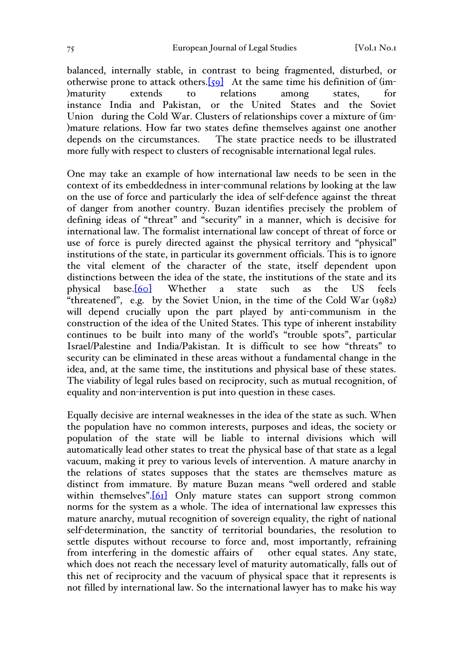balanced, internally stable, in contrast to being fragmented, disturbed, or otherwise prone to attack others.[59] At the same time his definition of  $(im-$ )maturity extends to relations among states, for instance India and Pakistan, or the United States and the Soviet Union during the Cold War. Clusters of relationships cover a mixture of (im- )mature relations. How far two states define themselves against one another depends on the circumstances. The state practice needs to be illustrated more fully with respect to clusters of recognisable international legal rules.

One may take an example of how international law needs to be seen in the context of its embeddedness in inter-communal relations by looking at the law on the use of force and particularly the idea of self-defence against the threat of danger from another country. Buzan identifies precisely the problem of defining ideas of "threat" and "security" in a manner, which is decisive for international law. The formalist international law concept of threat of force or use of force is purely directed against the physical territory and "physical" institutions of the state, in particular its government officials. This is to ignore the vital element of the character of the state, itself dependent upon distinctions between the idea of the state, the institutions of the state and its physical base.<u>[60]</u> Whether a state such as the US feels "threatened", e.g. by the Soviet Union, in the time of the Cold War  $(1982)$ will depend crucially upon the part played by anti-communism in the construction of the idea of the United States. This type of inherent instability continues to be built into many of the world's "trouble spots", particular Israel/Palestine and India/Pakistan. It is difficult to see how "threats" to security can be eliminated in these areas without a fundamental change in the idea, and, at the same time, the institutions and physical base of these states. The viability of legal rules based on reciprocity, such as mutual recognition, of equality and non-intervention is put into question in these cases.

Equally decisive are internal weaknesses in the idea of the state as such. When the population have no common interests, purposes and ideas, the society or population of the state will be liable to internal divisions which will automatically lead other states to treat the physical base of that state as a legal vacuum, making it prey to various levels of intervention. A mature anarchy in the relations of states supposes that the states are themselves mature as distinct from immature. By mature Buzan means "well ordered and stable within themselves". $[61]$  Only mature states can support strong common norms for the system as a whole. The idea of international law expresses this mature anarchy, mutual recognition of sovereign equality, the right of national self-determination, the sanctity of territorial boundaries, the resolution to settle disputes without recourse to force and, most importantly, refraining from interfering in the domestic affairs of other equal states. Any state, which does not reach the necessary level of maturity automatically, falls out of this net of reciprocity and the vacuum of physical space that it represents is not filled by international law. So the international lawyer has to make his way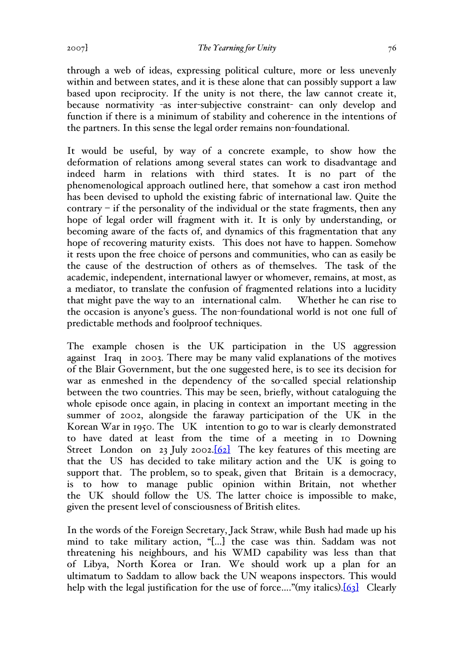through a web of ideas, expressing political culture, more or less unevenly within and between states, and it is these alone that can possibly support a law based upon reciprocity. If the unity is not there, the law cannot create it, because normativity -as inter-subjective constraint- can only develop and function if there is a minimum of stability and coherence in the intentions of the partners. In this sense the legal order remains non-foundational.

It would be useful, by way of a concrete example, to show how the deformation of relations among several states can work to disadvantage and indeed harm in relations with third states. It is no part of the phenomenological approach outlined here, that somehow a cast iron method has been devised to uphold the existing fabric of international law. Quite the contrary – if the personality of the individual or the state fragments, then any hope of legal order will fragment with it. It is only by understanding, or becoming aware of the facts of, and dynamics of this fragmentation that any hope of recovering maturity exists. This does not have to happen. Somehow it rests upon the free choice of persons and communities, who can as easily be the cause of the destruction of others as of themselves. The task of the academic, independent, international lawyer or whomever, remains, at most, as a mediator, to translate the confusion of fragmented relations into a lucidity that might pave the way to an international calm. Whether he can rise to the occasion is anyone's guess. The non-foundational world is not one full of predictable methods and foolproof techniques.

The example chosen is the UK participation in the US aggression against Iraq in 2003. There may be many valid explanations of the motives of the Blair Government, but the one suggested here, is to see its decision for war as enmeshed in the dependency of the so-called special relationship between the two countries. This may be seen, briefly, without cataloguing the whole episode once again, in placing in context an important meeting in the summer of 2002, alongside the faraway participation of the UK in the Korean War in 1950. The UK intention to go to war is clearly demonstrated to have dated at least from the time of a meeting in 10 Downing Street London on 23 July 2002. $[62]$  The key features of this meeting are that the US has decided to take military action and the UK is going to support that. The problem, so to speak, given that Britain is a democracy, is to how to manage public opinion within Britain, not whether the UK should follow the US. The latter choice is impossible to make, given the present level of consciousness of British elites.

In the words of the Foreign Secretary, Jack Straw, while Bush had made up his mind to take military action, "[...] the case was thin. Saddam was not threatening his neighbours, and his WMD capability was less than that of Libya, North Korea or Iran. We should work up a plan for an ultimatum to Saddam to allow back the UN weapons inspectors. This would help with the legal justification for the use of force...."(my italics). $[63]$  Clearly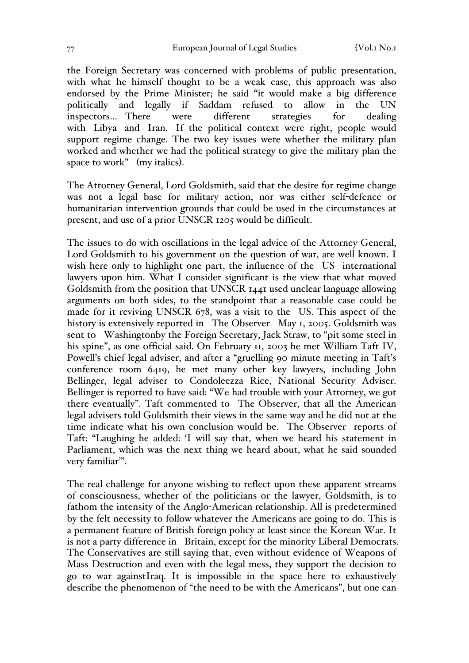the Foreign Secretary was concerned with problems of public presentation, with what he himself thought to be a weak case, this approach was also endorsed by the Prime Minister; he said "it would make a big difference politically and legally if Saddam refused to allow in the UN inspectors… There were different strategies for dealing with Libya and Iran. If the political context were right, people would support regime change. The two key issues were whether the military plan worked and whether we had the political strategy to give the military plan the space to work" (my italics).

The Attorney General, Lord Goldsmith, said that the desire for regime change was not a legal base for military action, nor was either self-defence or humanitarian intervention grounds that could be used in the circumstances at present, and use of a prior UNSCR 1205 would be difficult.

The issues to do with oscillations in the legal advice of the Attorney General, Lord Goldsmith to his government on the question of war, are well known. I wish here only to highlight one part, the influence of the US international lawyers upon him. What I consider significant is the view that what moved Goldsmith from the position that UNSCR 1441 used unclear language allowing arguments on both sides, to the standpoint that a reasonable case could be made for it reviving UNSCR 678, was a visit to the US. This aspect of the history is extensively reported in The Observer May 1, 2005. Goldsmith was sent to Washingtonby the Foreign Secretary, Jack Straw, to "pit some steel in his spine", as one official said. On February 11, 2003 he met William Taft IV, Powell's chief legal adviser, and after a "gruelling 90 minute meeting in Taft's conference room 6419, he met many other key lawyers, including John Bellinger, legal adviser to Condoleezza Rice, National Security Adviser. Bellinger is reported to have said: "We had trouble with your Attorney, we got there eventually". Taft commented to The Observer, that all the American legal advisers told Goldsmith their views in the same way and he did not at the time indicate what his own conclusion would be. The Observer reports of Taft: "Laughing he added: 'I will say that, when we heard his statement in Parliament, which was the next thing we heard about, what he said sounded very familiar'".

The real challenge for anyone wishing to reflect upon these apparent streams of consciousness, whether of the politicians or the lawyer, Goldsmith, is to fathom the intensity of the Anglo-American relationship. All is predetermined by the felt necessity to follow whatever the Americans are going to do. This is a permanent feature of British foreign policy at least since the Korean War. It is not a party difference in Britain, except for the minority Liberal Democrats. The Conservatives are still saying that, even without evidence of Weapons of Mass Destruction and even with the legal mess, they support the decision to go to war againstIraq. It is impossible in the space here to exhaustively describe the phenomenon of "the need to be with the Americans", but one can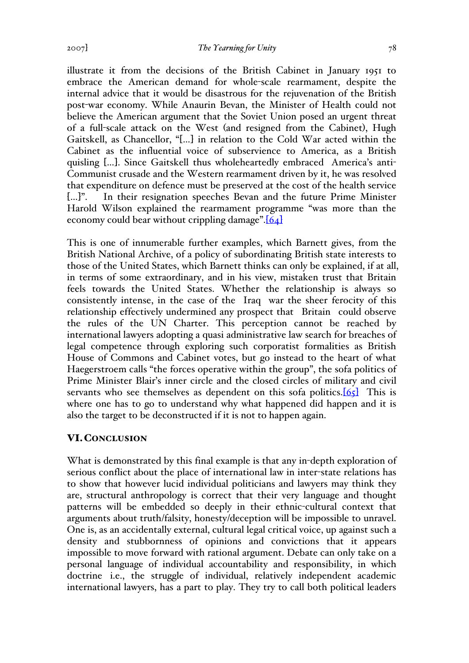illustrate it from the decisions of the British Cabinet in January 1951 to embrace the American demand for whole-scale rearmament, despite the internal advice that it would be disastrous for the rejuvenation of the British post-war economy. While Anaurin Bevan, the Minister of Health could not believe the American argument that the Soviet Union posed an urgent threat of a full-scale attack on the West (and resigned from the Cabinet), Hugh Gaitskell, as Chancellor, "[…] in relation to the Cold War acted within the Cabinet as the influential voice of subservience to America, as a British quisling […]. Since Gaitskell thus wholeheartedly embraced America's anti-Communist crusade and the Western rearmament driven by it, he was resolved that expenditure on defence must be preserved at the cost of the health service [...]". In their resignation speeches Bevan and the future Prime Minister Harold Wilson explained the rearmament programme "was more than the economy could bear without crippling damage". $[64]$ 

This is one of innumerable further examples, which Barnett gives, from the British National Archive, of a policy of subordinating British state interests to those of the United States, which Barnett thinks can only be explained, if at all, in terms of some extraordinary, and in his view, mistaken trust that Britain feels towards the United States. Whether the relationship is always so consistently intense, in the case of the Iraq war the sheer ferocity of this relationship effectively undermined any prospect that Britain could observe the rules of the UN Charter. This perception cannot be reached by international lawyers adopting a quasi administrative law search for breaches of legal competence through exploring such corporatist formalities as British House of Commons and Cabinet votes, but go instead to the heart of what Haegerstroem calls "the forces operative within the group", the sofa politics of Prime Minister Blair's inner circle and the closed circles of military and civil servants who see themselves as dependent on this sofa politics.<sup>[65]</sup> This is where one has to go to understand why what happened did happen and it is also the target to be deconstructed if it is not to happen again.

### VI.CONCLUSION

What is demonstrated by this final example is that any in-depth exploration of serious conflict about the place of international law in inter-state relations has to show that however lucid individual politicians and lawyers may think they are, structural anthropology is correct that their very language and thought patterns will be embedded so deeply in their ethnic-cultural context that arguments about truth/falsity, honesty/deception will be impossible to unravel. One is, as an accidentally external, cultural legal critical voice, up against such a density and stubbornness of opinions and convictions that it appears impossible to move forward with rational argument. Debate can only take on a personal language of individual accountability and responsibility, in which doctrine i.e., the struggle of individual, relatively independent academic international lawyers, has a part to play. They try to call both political leaders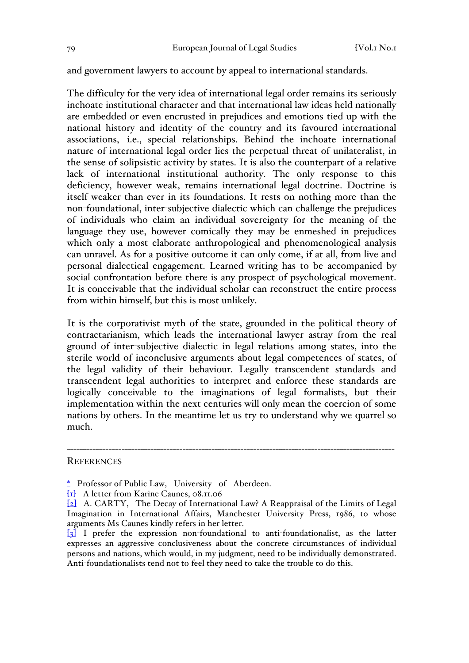and government lawyers to account by appeal to international standards.

The difficulty for the very idea of international legal order remains its seriously inchoate institutional character and that international law ideas held nationally are embedded or even encrusted in prejudices and emotions tied up with the national history and identity of the country and its favoured international associations, i.e., special relationships. Behind the inchoate international nature of international legal order lies the perpetual threat of unilateralist, in the sense of solipsistic activity by states. It is also the counterpart of a relative lack of international institutional authority. The only response to this deficiency, however weak, remains international legal doctrine. Doctrine is itself weaker than ever in its foundations. It rests on nothing more than the non-foundational, inter-subjective dialectic which can challenge the prejudices of individuals who claim an individual sovereignty for the meaning of the language they use, however comically they may be enmeshed in prejudices which only a most elaborate anthropological and phenomenological analysis can unravel. As for a positive outcome it can only come, if at all, from live and personal dialectical engagement. Learned writing has to be accompanied by social confrontation before there is any prospect of psychological movement. It is conceivable that the individual scholar can reconstruct the entire process from within himself, but this is most unlikely.

It is the corporativist myth of the state, grounded in the political theory of contractarianism, which leads the international lawyer astray from the real ground of inter-subjective dialectic in legal relations among states, into the sterile world of inconclusive arguments about legal competences of states, of the legal validity of their behaviour. Legally transcendent standards and transcendent legal authorities to interpret and enforce these standards are logically conceivable to the imaginations of legal formalists, but their implementation within the next centuries will only mean the coercion of some nations by others. In the meantime let us try to understand why we quarrel so much.

#### **REFERENCES**

------------------------------------------------------------------------------------------------------

<sup>\*</sup> Professor of Public Law, University of Aberdeen.

<sup>[</sup>1] A letter from Karine Caunes, 08.11.06

<sup>[</sup>2] A. CARTY, The Decay of International Law? A Reappraisal of the Limits of Legal Imagination in International Affairs, Manchester University Press, 1986, to whose arguments Ms Caunes kindly refers in her letter.

<sup>[</sup>3] I prefer the expression non-foundational to anti-foundationalist, as the latter expresses an aggressive conclusiveness about the concrete circumstances of individual persons and nations, which would, in my judgment, need to be individually demonstrated. Anti-foundationalists tend not to feel they need to take the trouble to do this.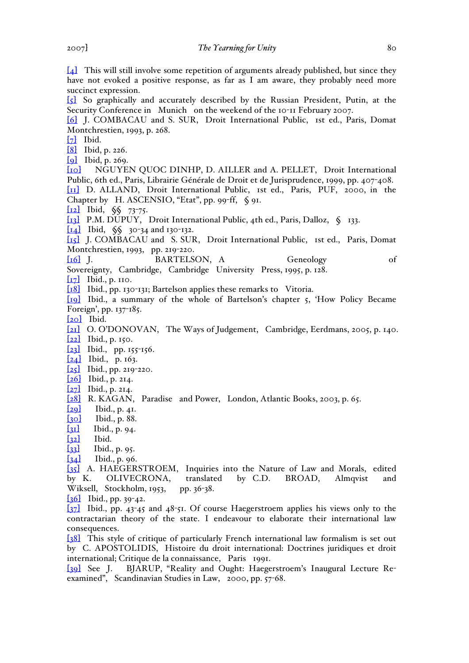[4] This will still involve some repetition of arguments already published, but since they have not evoked a positive response, as far as I am aware, they probably need more succinct expression.

[5] So graphically and accurately described by the Russian President, Putin, at the Security Conference in Munich on the weekend of the 10-11 February 2007.

[6] J. COMBACAU and S. SUR, Droit International Public, 1st ed., Paris, Domat Montchrestien, 1993, p. 268.

 $\lbrack 7\rbrack$  Ibid.

[8] Ibid, p. 226.

 $\lbrack 9\rbrack$  Ibid, p. 269.

[10] NGUYEN QUOC DINHP, D. AILLER and A. PELLET, Droit International Public, 6th ed., Paris, Librairie Générale de Droit et de Jurisprudence, 1999, pp. 407-408. [11] D. ALLAND, Droit International Public, 1st ed., Paris, PUF, 2000, in the Chapter by H. ASCENSIO, "Etat", pp. 99-ff, § 91.

 $\boxed{12}$  Ibid,  $\S\S$  73-75.

[13] P.M. DUPUY, Droit International Public, 4th ed., Paris, Dalloz,  $\zeta$  133.

[14] Ibid, §§ 30-34 and 130-132.

[15] J. COMBACAU and S. SUR, Droit International Public, 1st ed., Paris, Domat Montchrestien, 1993, pp. 219-220.

[16] J. BARTELSON, A Geneology of Sovereignty, Cambridge, Cambridge University Press, 1995, p. 128.

[17] Ibid., p. 110.

[18] Ibid., pp. 130-131; Bartelson applies these remarks to Vitoria.

[19] Ibid., a summary of the whole of Bartelson's chapter 5, 'How Policy Became Foreign', pp. 137-185.

[20] Ibid.

[21] O. O'DONOVAN, The Ways of Judgement, Cambridge, Eerdmans, 2005, p. 140. [22] Ibid., p. 150.

[23] Ibid., pp. 155-156.

 $[24]$  Ibid., p. 163.

 $[25]$  Ibid., pp. 219-220.

[26] Ibid., p. 214.

 $[27]$  Ibid., p. 214.

[28] R. KAGAN, Paradise and Power, London, Atlantic Books, 2003, p. 65.

[29] Ibid., p. 41.<br>[30] Ibid., p. 88.

 $\begin{array}{cc} \boxed{30} & \text{Ibid., p. 88.} \\ \boxed{31} & \text{Ibid., p. 94.} \end{array}$ 

 $\begin{bmatrix} \boxed{31} \\ \boxed{32} \end{bmatrix}$  Ibid., p. 94.

Ibid.

 $[33]$  Ibid., p. 95.

 $[34]$  Ibid., p. 96.

[35] A. HAEGERSTROEM, Inquiries into the Nature of Law and Morals, edited by K. OLIVECRONA, translated by C.D. BROAD, Almqvist and Wiksell, Stockholm, 1953, pp. 36-38.

 $[36]$  Ibid., pp. 39-42.

[37] Ibid., pp. 43-45 and 48-51. Of course Haegerstroem applies his views only to the contractarian theory of the state. I endeavour to elaborate their international law consequences.

[38] This style of critique of particularly French international law formalism is set out by C. APOSTOLIDIS, Histoire du droit international: Doctrines juridiques et droit international; Critique de la connaissance, Paris 1991.

[39] See J. BJARUP, "Reality and Ought: Haegerstroem's Inaugural Lecture Reexamined", Scandinavian Studies in Law, 2000, pp. 57-68.